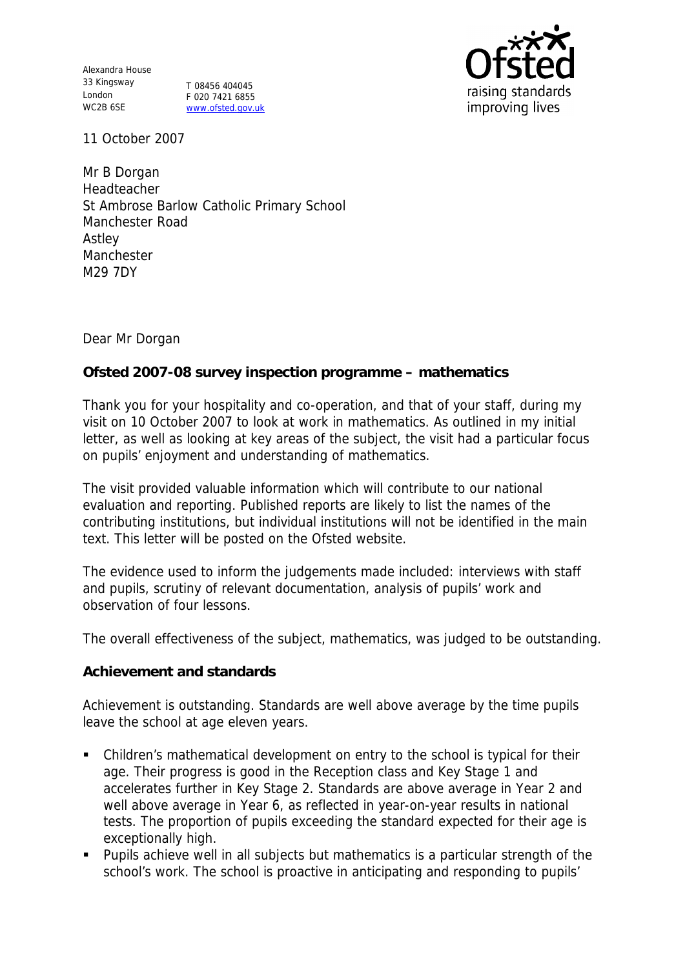Alexandra House 33 Kingsway London WC2B 6SE

T 08456 404045 F 020 7421 6855 www.ofsted.gov.uk



11 October 2007

Mr B Dorgan Headteacher St Ambrose Barlow Catholic Primary School Manchester Road Astley Manchester M29 7DY

Dear Mr Dorgan

## **Ofsted 2007-08 survey inspection programme – mathematics**

Thank you for your hospitality and co-operation, and that of your staff, during my visit on 10 October 2007 to look at work in mathematics. As outlined in my initial letter, as well as looking at key areas of the subject, the visit had a particular focus on pupils' enjoyment and understanding of mathematics.

The visit provided valuable information which will contribute to our national evaluation and reporting. Published reports are likely to list the names of the contributing institutions, but individual institutions will not be identified in the main text. This letter will be posted on the Ofsted website.

The evidence used to inform the judgements made included: interviews with staff and pupils, scrutiny of relevant documentation, analysis of pupils' work and observation of four lessons.

The overall effectiveness of the subject, mathematics, was judged to be outstanding.

#### **Achievement and standards**

Achievement is outstanding. Standards are well above average by the time pupils leave the school at age eleven years.

- Children's mathematical development on entry to the school is typical for their age. Their progress is good in the Reception class and Key Stage 1 and accelerates further in Key Stage 2. Standards are above average in Year 2 and well above average in Year 6, as reflected in year-on-year results in national tests. The proportion of pupils exceeding the standard expected for their age is exceptionally high.
- **Pupils achieve well in all subjects but mathematics is a particular strength of the** school's work. The school is proactive in anticipating and responding to pupils'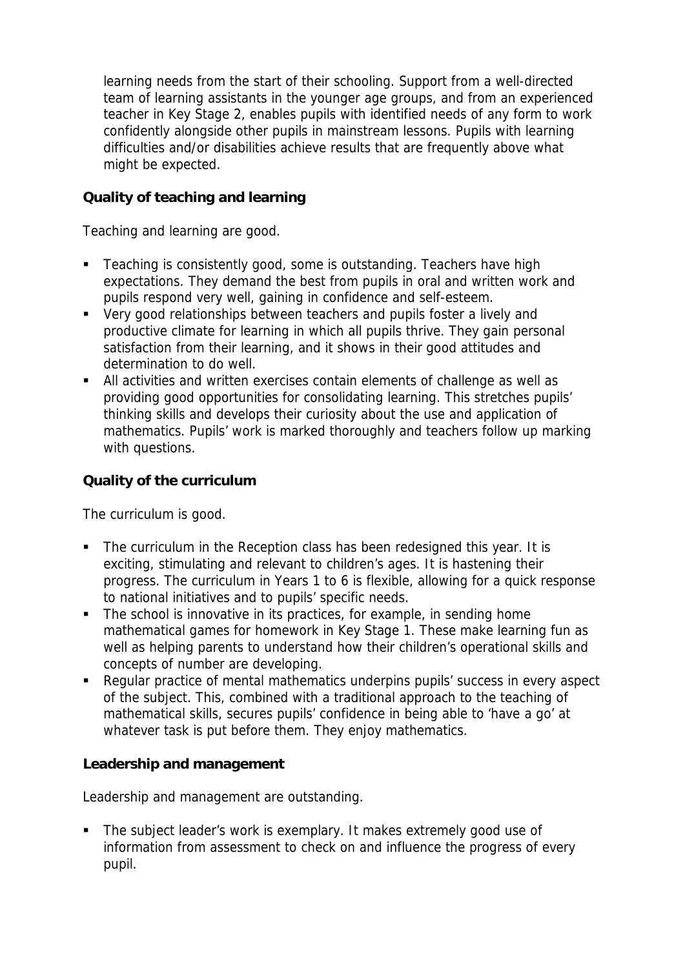learning needs from the start of their schooling. Support from a well-directed team of learning assistants in the younger age groups, and from an experienced teacher in Key Stage 2, enables pupils with identified needs of any form to work confidently alongside other pupils in mainstream lessons. Pupils with learning difficulties and/or disabilities achieve results that are frequently above what might be expected.

# **Quality of teaching and learning**

Teaching and learning are good.

- **Teaching is consistently good, some is outstanding. Teachers have high** expectations. They demand the best from pupils in oral and written work and pupils respond very well, gaining in confidence and self-esteem.
- Very good relationships between teachers and pupils foster a lively and productive climate for learning in which all pupils thrive. They gain personal satisfaction from their learning, and it shows in their good attitudes and determination to do well.
- All activities and written exercises contain elements of challenge as well as providing good opportunities for consolidating learning. This stretches pupils' thinking skills and develops their curiosity about the use and application of mathematics. Pupils' work is marked thoroughly and teachers follow up marking with questions.

### **Quality of the curriculum**

The curriculum is good.

- The curriculum in the Reception class has been redesigned this year. It is exciting, stimulating and relevant to children's ages. It is hastening their progress. The curriculum in Years 1 to 6 is flexible, allowing for a quick response to national initiatives and to pupils' specific needs.
- The school is innovative in its practices, for example, in sending home mathematical games for homework in Key Stage 1. These make learning fun as well as helping parents to understand how their children's operational skills and concepts of number are developing.
- Regular practice of mental mathematics underpins pupils' success in every aspect of the subject. This, combined with a traditional approach to the teaching of mathematical skills, secures pupils' confidence in being able to 'have a go' at whatever task is put before them. They enjoy mathematics.

**Leadership and management**

Leadership and management are outstanding.

• The subject leader's work is exemplary. It makes extremely good use of information from assessment to check on and influence the progress of every pupil.